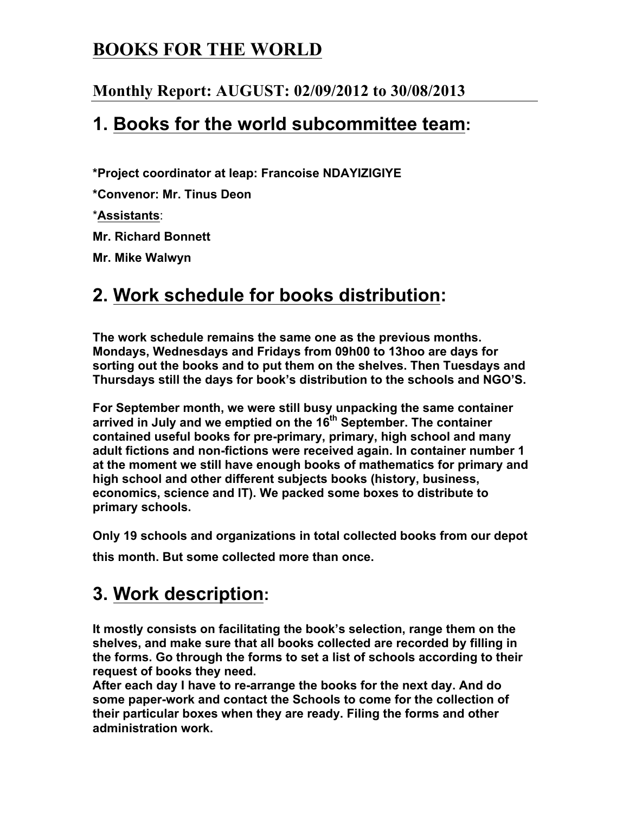## **BOOKS FOR THE WORLD**

#### **Monthly Report: AUGUST: 02/09/2012 to 30/08/2013**

### **1. Books for the world subcommittee team:**

**\*Project coordinator at leap: Francoise NDAYIZIGIYE** 

**\*Convenor: Mr. Tinus Deon**

\***Assistants**:

**Mr. Richard Bonnett** 

**Mr. Mike Walwyn**

## **2. Work schedule for books distribution:**

**The work schedule remains the same one as the previous months. Mondays, Wednesdays and Fridays from 09h00 to 13hoo are days for sorting out the books and to put them on the shelves. Then Tuesdays and Thursdays still the days for book's distribution to the schools and NGO'S.** 

**For September month, we were still busy unpacking the same container arrived in July and we emptied on the 16th September. The container contained useful books for pre-primary, primary, high school and many adult fictions and non-fictions were received again. In container number 1 at the moment we still have enough books of mathematics for primary and high school and other different subjects books (history, business, economics, science and IT). We packed some boxes to distribute to primary schools.**

**Only 19 schools and organizations in total collected books from our depot** 

**this month. But some collected more than once.** 

# **3. Work description:**

**It mostly consists on facilitating the book's selection, range them on the shelves, and make sure that all books collected are recorded by filling in the forms. Go through the forms to set a list of schools according to their request of books they need.** 

**After each day I have to re-arrange the books for the next day. And do some paper-work and contact the Schools to come for the collection of their particular boxes when they are ready. Filing the forms and other administration work.**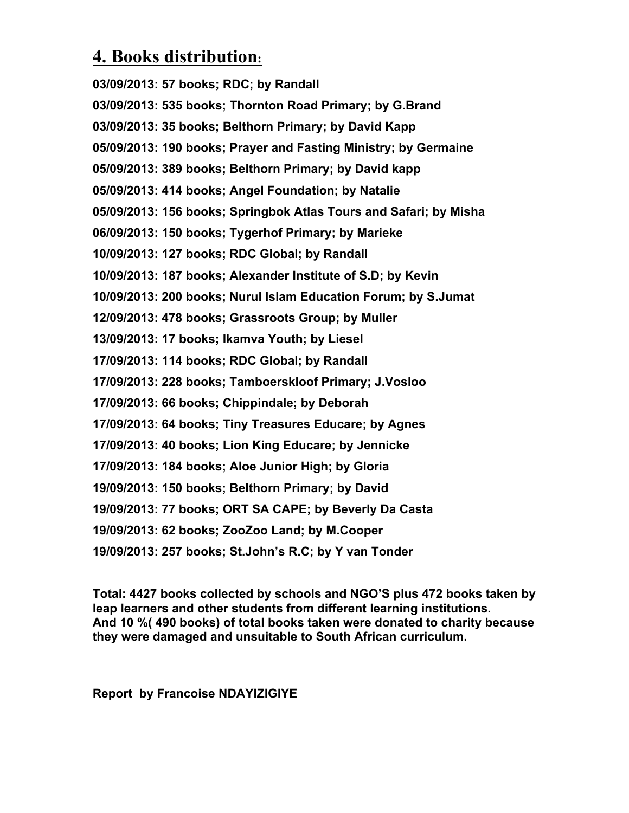## **4. Books distribution:**

**03/09/2013: 57 books; RDC; by Randall 03/09/2013: 535 books; Thornton Road Primary; by G.Brand 03/09/2013: 35 books; Belthorn Primary; by David Kapp 05/09/2013: 190 books; Prayer and Fasting Ministry; by Germaine 05/09/2013: 389 books; Belthorn Primary; by David kapp 05/09/2013: 414 books; Angel Foundation; by Natalie 05/09/2013: 156 books; Springbok Atlas Tours and Safari; by Misha 06/09/2013: 150 books; Tygerhof Primary; by Marieke 10/09/2013: 127 books; RDC Global; by Randall 10/09/2013: 187 books; Alexander Institute of S.D; by Kevin 10/09/2013: 200 books; Nurul Islam Education Forum; by S.Jumat 12/09/2013: 478 books; Grassroots Group; by Muller 13/09/2013: 17 books; Ikamva Youth; by Liesel 17/09/2013: 114 books; RDC Global; by Randall 17/09/2013: 228 books; Tamboerskloof Primary; J.Vosloo 17/09/2013: 66 books; Chippindale; by Deborah 17/09/2013: 64 books; Tiny Treasures Educare; by Agnes 17/09/2013: 40 books; Lion King Educare; by Jennicke 17/09/2013: 184 books; Aloe Junior High; by Gloria 19/09/2013: 150 books; Belthorn Primary; by David 19/09/2013: 77 books; ORT SA CAPE; by Beverly Da Casta 19/09/2013: 62 books; ZooZoo Land; by M.Cooper 19/09/2013: 257 books; St.John's R.C; by Y van Tonder**

**Total: 4427 books collected by schools and NGO'S plus 472 books taken by leap learners and other students from different learning institutions. And 10 %( 490 books) of total books taken were donated to charity because they were damaged and unsuitable to South African curriculum.**

**Report by Francoise NDAYIZIGIYE**